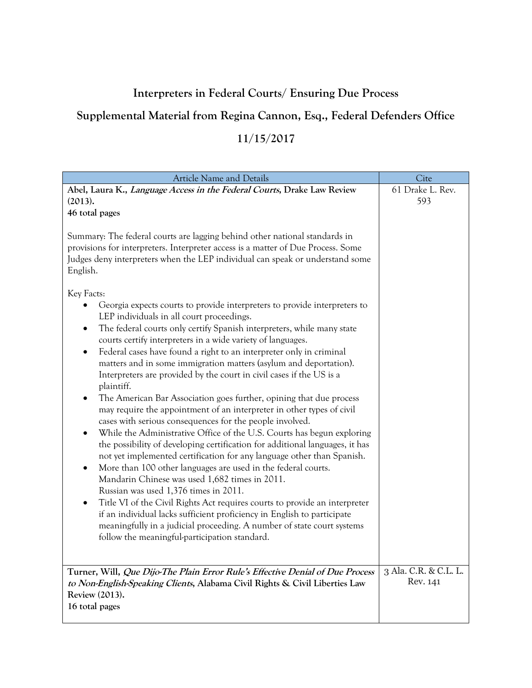## **Interpreters in Federal Courts/ Ensuring Due Process**

## **Supplemental Material from Regina Cannon, Esq., Federal Defenders Office**

## **11/15/2017**

| Article Name and Details                                                                                                                                                                                                                                                                                                                                                                                                                                                                                                                                                                                                                                                                                                                                                                                                                                                                                                                                                                                                                                                                                                                                                                                                                                                                                                                                                                                                                  | Cite                              |
|-------------------------------------------------------------------------------------------------------------------------------------------------------------------------------------------------------------------------------------------------------------------------------------------------------------------------------------------------------------------------------------------------------------------------------------------------------------------------------------------------------------------------------------------------------------------------------------------------------------------------------------------------------------------------------------------------------------------------------------------------------------------------------------------------------------------------------------------------------------------------------------------------------------------------------------------------------------------------------------------------------------------------------------------------------------------------------------------------------------------------------------------------------------------------------------------------------------------------------------------------------------------------------------------------------------------------------------------------------------------------------------------------------------------------------------------|-----------------------------------|
| Abel, Laura K., Language Access in the Federal Courts, Drake Law Review<br>(2013).                                                                                                                                                                                                                                                                                                                                                                                                                                                                                                                                                                                                                                                                                                                                                                                                                                                                                                                                                                                                                                                                                                                                                                                                                                                                                                                                                        | 61 Drake L. Rev.<br>593           |
| 46 total pages                                                                                                                                                                                                                                                                                                                                                                                                                                                                                                                                                                                                                                                                                                                                                                                                                                                                                                                                                                                                                                                                                                                                                                                                                                                                                                                                                                                                                            |                                   |
| Summary: The federal courts are lagging behind other national standards in<br>provisions for interpreters. Interpreter access is a matter of Due Process. Some<br>Judges deny interpreters when the LEP individual can speak or understand some<br>English.                                                                                                                                                                                                                                                                                                                                                                                                                                                                                                                                                                                                                                                                                                                                                                                                                                                                                                                                                                                                                                                                                                                                                                               |                                   |
| Key Facts:<br>Georgia expects courts to provide interpreters to provide interpreters to<br>LEP individuals in all court proceedings.<br>The federal courts only certify Spanish interpreters, while many state<br>$\bullet$<br>courts certify interpreters in a wide variety of languages.<br>Federal cases have found a right to an interpreter only in criminal<br>$\bullet$<br>matters and in some immigration matters (asylum and deportation).<br>Interpreters are provided by the court in civil cases if the US is a<br>plaintiff.<br>The American Bar Association goes further, opining that due process<br>may require the appointment of an interpreter in other types of civil<br>cases with serious consequences for the people involved.<br>While the Administrative Office of the U.S. Courts has begun exploring<br>the possibility of developing certification for additional languages, it has<br>not yet implemented certification for any language other than Spanish.<br>More than 100 other languages are used in the federal courts.<br>Mandarin Chinese was used 1,682 times in 2011.<br>Russian was used 1,376 times in 2011.<br>Title VI of the Civil Rights Act requires courts to provide an interpreter<br>if an individual lacks sufficient proficiency in English to participate<br>meaningfully in a judicial proceeding. A number of state court systems<br>follow the meaningful-participation standard. |                                   |
| Turner, Will, Que Dijo-The Plain Error Rule's Effective Denial of Due Process<br>to Non-English-Speaking Clients, Alabama Civil Rights & Civil Liberties Law<br>Review (2013).<br>16 total pages                                                                                                                                                                                                                                                                                                                                                                                                                                                                                                                                                                                                                                                                                                                                                                                                                                                                                                                                                                                                                                                                                                                                                                                                                                          | 3 Ala. C.R. & C.L. L.<br>Rev. 141 |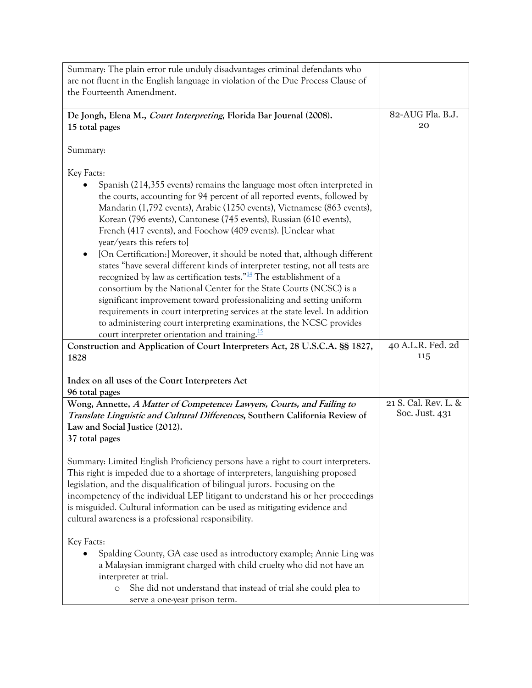| Summary: The plain error rule unduly disadvantages criminal defendants who                                                                                                                                                                                                                                                                                                                                                                                               |                                        |
|--------------------------------------------------------------------------------------------------------------------------------------------------------------------------------------------------------------------------------------------------------------------------------------------------------------------------------------------------------------------------------------------------------------------------------------------------------------------------|----------------------------------------|
| are not fluent in the English language in violation of the Due Process Clause of                                                                                                                                                                                                                                                                                                                                                                                         |                                        |
| the Fourteenth Amendment.                                                                                                                                                                                                                                                                                                                                                                                                                                                |                                        |
|                                                                                                                                                                                                                                                                                                                                                                                                                                                                          |                                        |
| De Jongh, Elena M., Court Interpreting, Florida Bar Journal (2008).                                                                                                                                                                                                                                                                                                                                                                                                      | 82-AUG Fla. B.J.                       |
| 15 total pages                                                                                                                                                                                                                                                                                                                                                                                                                                                           | 20                                     |
| Summary:                                                                                                                                                                                                                                                                                                                                                                                                                                                                 |                                        |
| Key Facts:                                                                                                                                                                                                                                                                                                                                                                                                                                                               |                                        |
| Spanish (214,355 events) remains the language most often interpreted in<br>the courts, accounting for 94 percent of all reported events, followed by<br>Mandarin (1,792 events), Arabic (1250 events), Vietnamese (863 events),<br>Korean (796 events), Cantonese (745 events), Russian (610 events),<br>French (417 events), and Foochow (409 events). [Unclear what                                                                                                    |                                        |
| year/years this refers to]<br>[On Certification:] Moreover, it should be noted that, although different<br>states "have several different kinds of interpreter testing, not all tests are                                                                                                                                                                                                                                                                                |                                        |
| recognized by law as certification tests." $\frac{14}{11}$ The establishment of a<br>consortium by the National Center for the State Courts (NCSC) is a<br>significant improvement toward professionalizing and setting uniform                                                                                                                                                                                                                                          |                                        |
| requirements in court interpreting services at the state level. In addition<br>to administering court interpreting examinations, the NCSC provides<br>court interpreter orientation and training. $\frac{15}{2}$                                                                                                                                                                                                                                                         |                                        |
| Construction and Application of Court Interpreters Act, 28 U.S.C.A. §§ 1827,<br>1828                                                                                                                                                                                                                                                                                                                                                                                     | 40 A.L.R. Fed. 2d<br>115               |
|                                                                                                                                                                                                                                                                                                                                                                                                                                                                          |                                        |
| Index on all uses of the Court Interpreters Act                                                                                                                                                                                                                                                                                                                                                                                                                          |                                        |
| 96 total pages                                                                                                                                                                                                                                                                                                                                                                                                                                                           |                                        |
| Wong, Annette, A Matter of Competence: Lawyers, Courts, and Failing to<br>Translate Linguistic and Cultural Differences, Southern California Review of                                                                                                                                                                                                                                                                                                                   | 21 S. Cal. Rev. L. &<br>Soc. Just. 431 |
| Law and Social Justice (2012).                                                                                                                                                                                                                                                                                                                                                                                                                                           |                                        |
| 37 total pages                                                                                                                                                                                                                                                                                                                                                                                                                                                           |                                        |
| Summary: Limited English Proficiency persons have a right to court interpreters.<br>This right is impeded due to a shortage of interpreters, languishing proposed<br>legislation, and the disqualification of bilingual jurors. Focusing on the<br>incompetency of the individual LEP litigant to understand his or her proceedings<br>is misguided. Cultural information can be used as mitigating evidence and<br>cultural awareness is a professional responsibility. |                                        |
| Key Facts:<br>Spalding County, GA case used as introductory example; Annie Ling was<br>a Malaysian immigrant charged with child cruelty who did not have an<br>interpreter at trial.<br>She did not understand that instead of trial she could plea to<br>$\circ$<br>serve a one-year prison term.                                                                                                                                                                       |                                        |